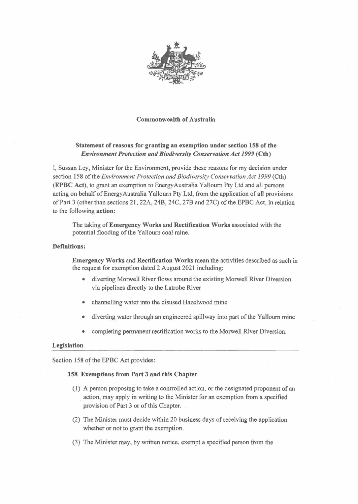

### **Commonwealth of Australia**

# **Statement of reasons for granting an exemption under section 158 of the**  *Environment Protection and Biodiversity Conservation Act 1999* **(Cth)**

I, Sussan Ley, Minister for the Environment, provide these reasons for my decision under section 158 of the *Environment Protection and Biodiversity Conservation Act 1999* (Cth) (EPBC Act), to grant an exemption to Energy Australia Yallourn Pty Ltd and all persons acting on behalf of Energy Australia Yallourn Pty Ltd, from the application of all provisions of Part 3 ( other than sections 21, 22A, 24B, 24C, 27B and 27C) of the EPBC Act, in relation to the following **action:** 

The taking of **Emergency Works** and **Rectification Works** associated with the potential flooding of the Yallourn coal mine.

### **Definitions:**

**Emergency Works** and **Rectification Works** mean the activities described as such in the request for exemption dated 2 August 2021 including:

- diverting Morwell River flows around the existing Morwell River Diversion via pipelines directly to the Latrobe River
- channelling water into the disused Hazelwood mine
- diverting water through an engineered spillway into part of the Yallourn mine
- completing permanent rectification works to the Morwell River Diversion.

#### **Legislation**

Section 158 of the EPBC Act provides:

### 158 Exemptions **from Part 3 and this Chapter**

- ( 1) A person proposing to take a controlled action, or the designated proponent of an action, may apply in writing to the Minister for an exemption from a specified provision of Part 3 or of this Chapter.
- (2) The Minister must decide within 20 business days of receiving the application whether or not to grant the exemption.
- (3) The Minister may, by written notice, exempt a specified person from the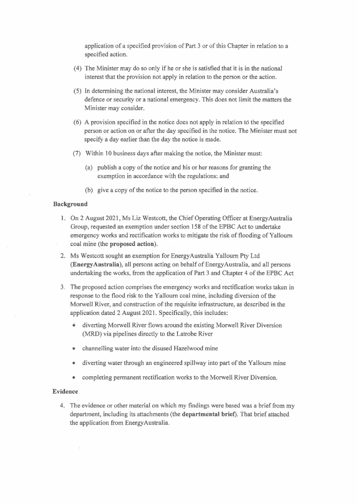application of a specified provision of Part 3 or of this Chapter in relation to a specified action.

- ( 4) The Minister may do so only if he or she is satisfied that it is in the national interest that the provision not apply in relation to the person or the action.
- (5) In detennining the national interest, the Minister may consider Australia's defence or security or a national emergency. This does not limit the matters the Minister may consider.
- (6) A provision specified in the notice does not apply in relation to the specified person or action on or after the day specified in the notice. The Minister must not specify a day earlier than the day the notice is made.
- (7) Within 10 business days after making the notice, the Minister must:
	- (a) publish a copy of the notice and his or her reasons for granting the exemption in accordance with the regulations: and
	- (b) give a copy of the notice to the person specified in the notice.

### **Background**

- I. On 2 August 2021, Ms Liz Westcott, the Chief Operating Officer at Energy Australia Group, requested an exemption under section 15 8 of the EPBC Act to undertake emergency works and rectification works to mitigate the risk of flooding of Yalloum coal mine (the **proposed action).**
- 2. Ms Westcott sought an exemption for Energy Australia Yallourn Pty Ltd (Energy Australia), all persons acting on behalf of Energy Australia, and all persons undertaking the works, from the application of Part 3 and Chapter 4 of the EPBC Act
- 3. The proposed action comprises the emergency works and rectification works taken in response to the flood risk to the Yallourn coal mine, including diversion of the Morwell River, and construction of the requisite infrastructure, as described in the application dated 2 August 2021. Specifically, this includes:
	- $i$  diverting Morwell River flows around the existing Morwell River Diversion (MRD) via pipelines directly to the Latrobe River
	- channelling water into the disused Hazelwood mine
	- diverting water through an engineered spillway into part of the Yallourn mine
	- completing permanent rectification works to the Morwell River Diversion.

### **Evidence**

4. The evidence or other material on which my findings were based was a brief from my department, including its attachments (the departmental brief). That brief attached the application from Energy Australia.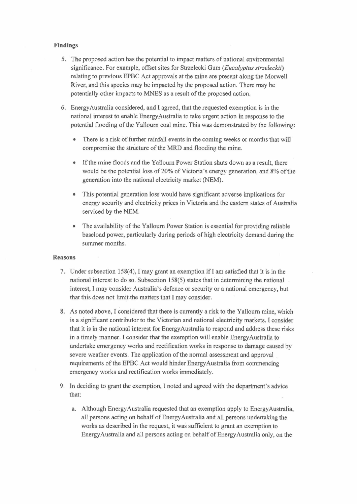## **Findings**

- 5. The proposed action has the potential to impact matters of national environmental significance. For example, offset sites for Strzelecki Gum (Eucalyptus strzeleckii) relating to previous EPBC Act approvals at the mine are present along the Morwell **River,** and this species may be impacted by the proposed action. There may be potentially other impacts to MNES as a result of the proposed action.
- 6. Energy Australia considered, and I agreed, that the requested exemption is in the national interest to enable Energy Australia to take urgent action in response to the potential flooding of the Yalloum coal mine. This was demonstrated by the following:
	- There is a risk of further rainfall events in the coming weeks or months that will compromise the structure of the MRD and flooding the mine.
	- If the mine floods and the Yallourn Power Station shuts down as a result, there would be the potential loss of 20% of Victoria's energy generation, and 8% of the generation into the national electricity market (NEM).
	- This potential generation loss would have significant adverse implications for energy security and electricity prices in Victoria and the eastern states of Australia serviced by the NEM.
	- The availability of the Yalloum Power Station is essential for providing reliable baseload power, particularly during periods of high electricity demand during the summer months.

#### **Reasons**

- 7. Under subsection 158(4), I may grant an exemption if I am satisfied that it is in the national interest to do so. Subsection 158(5) states that in determining the national interest, I may consider Australia's defence or security or a national emergency, but that this does not limit the matters that I may consider.
- **8.** As noted above, I considered that there is currently a risk to the Yalloum mine, which is a significant contributor to the Victorian and national electricity markets. I consider that it is in the national interest for Energy Australia to respond and address these risks in a timely manner. I consider that the exemption will enable Energy Australia to undertake emergency works and rectification works in response to damage caused by severe weather events. The application of the normal assessment and approval requirements of the EPBC Act would hinder Energy Australia from commencing emergency works and rectification works immediately.
- 9. In deciding to grant the exemption, I noted and agreed with the department's advice that:
	- a. Although Energy Australia requested that an exemption apply to Energy Australia, all persons acting on behalf of Energy Australia and all persons undertaking the works as described in the request, it was sufficient to grant an exemption to Energy Australia and all persons acting on behalf of Energy Australia only, on the